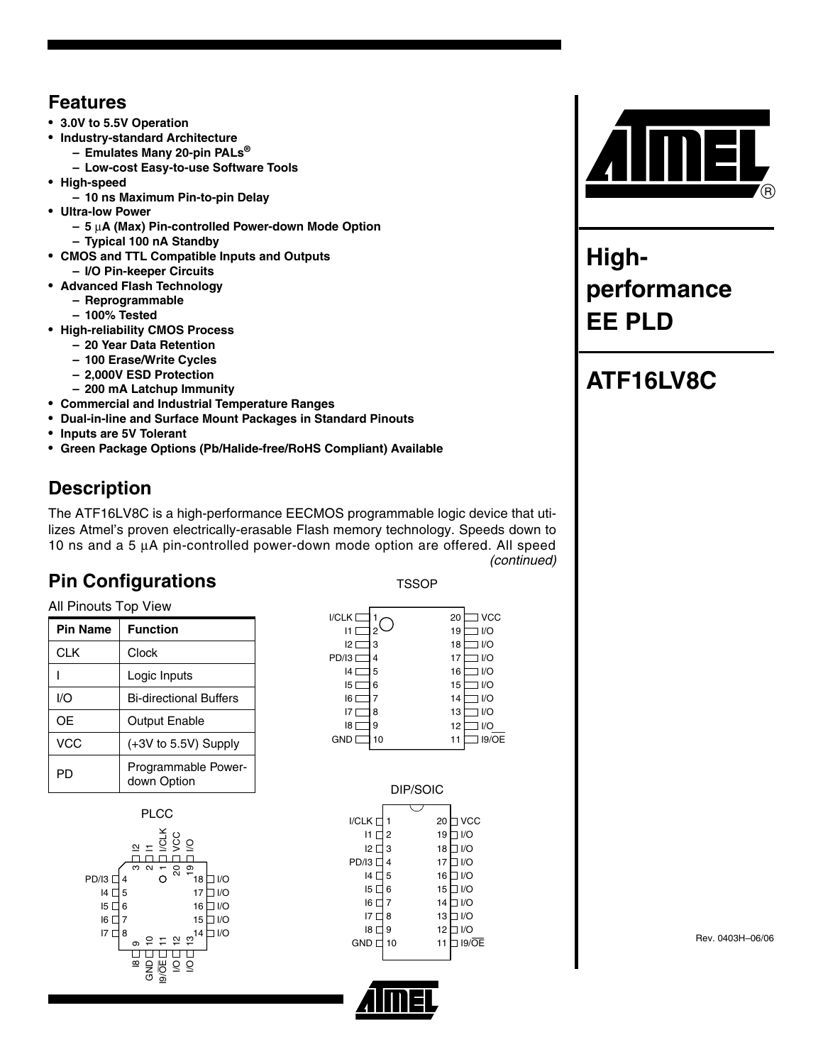#### **Features**

- **3.0V to 5.5V Operation**
- **Industry-standard Architecture**
	- **Emulates Many 20-pin PALs®**
	- **Low-cost Easy-to-use Software Tools**
- **High-speed**
	- **10 ns Maximum Pin-to-pin Delay**
- **Ultra-low Power** 
	- **5** µ**A (Max) Pin-controlled Power-down Mode Option**
	- **Typical 100 nA Standby**
- **CMOS and TTL Compatible Inputs and Outputs** 
	- **I/O Pin-keeper Circuits**
- **Advanced Flash Technology**
	- **Reprogrammable**
	- **100% Tested**
- **High-reliability CMOS Process**
	- **20 Year Data Retention**
	- **100 Erase/Write Cycles**
	- **2,000V ESD Protection**
	- **200 mA Latchup Immunity**
- **Commercial and Industrial Temperature Ranges**
- **Dual-in-line and Surface Mount Packages in Standard Pinouts**
- **Inputs are 5V Tolerant**
- **Green Package Options (Pb/Halide-free/RoHS Compliant) Available**

## **Description**

The ATF16LV8C is a high-performance EECMOS programmable logic device that utilizes Atmel's proven electrically-erasable Flash memory technology. Speeds down to 10 ns and a 5 µA pin-controlled power-down mode option are offered. All speed *(continued)*

## **Pin Configurations**

**TSSOP** 

All Pinouts Top View

| <b>Pin Name</b> | <b>Function</b>                    |
|-----------------|------------------------------------|
| <b>CLK</b>      | Clock                              |
|                 | Logic Inputs                       |
| I/O             | <b>Bi-directional Buffers</b>      |
| OЕ              | <b>Output Enable</b>               |
| VCC             | $(+3V)$ to 5.5V) Supply            |
| PD              | Programmable Power-<br>down Option |





| DIP/SOIC        |    |    |                    |  |  |
|-----------------|----|----|--------------------|--|--|
|                 |    |    |                    |  |  |
| I/CLK [         |    | 20 | l VCC              |  |  |
| 11              | 2  | 19 | 1/O                |  |  |
| 12 <sup>2</sup> | 3  | 18 | 1/O                |  |  |
| PD/I3           | 4  | 17 | 1/O                |  |  |
| 4               | 5  | 16 | 1/O                |  |  |
| 15 I            | 6  | 15 | 1/O                |  |  |
| 16 I            | 7  | 14 | 1/O                |  |  |
| 17              | 8  | 13 | 1/O                |  |  |
| 8               | 9  | 12 | 1/O                |  |  |
| GND I           | 10 | 11 | $19/\overline{OE}$ |  |  |
|                 |    |    |                    |  |  |





**Highperformance EE PLD**

# **ATF16LV8C**

Rev. 0403H–06/06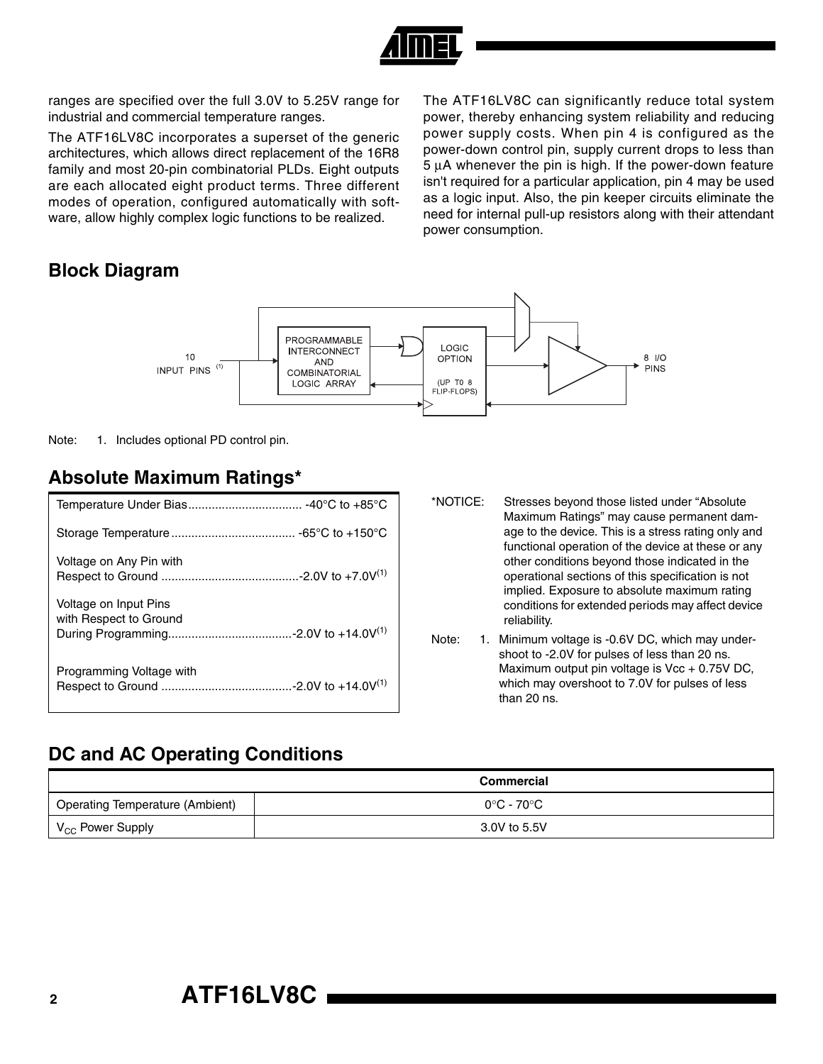

ranges are specified over the full 3.0V to 5.25V range for industrial and commercial temperature ranges.

The ATF16LV8C incorporates a superset of the generic architectures, which allows direct replacement of the 16R8 family and most 20-pin combinatorial PLDs. Eight outputs are each allocated eight product terms. Three different modes of operation, configured automatically with software, allow highly complex logic functions to be realized.

#### **Block Diagram**

The ATF16LV8C can significantly reduce total system power, thereby enhancing system reliability and reducing power supply costs. When pin 4 is configured as the power-down control pin, supply current drops to less than 5 µA whenever the pin is high. If the power-down feature isn't required for a particular application, pin 4 may be used as a logic input. Also, the pin keeper circuits eliminate the need for internal pull-up resistors along with their attendant power consumption.



Note: 1. Includes optional PD control pin.

#### **Absolute Maximum Ratings\***

| Voltage on Any Pin with                         |
|-------------------------------------------------|
| Voltage on Input Pins<br>with Respect to Ground |
| Programming Voltage with                        |

- \*NOTICE: Stresses beyond those listed under "Absolute Maximum Ratings" may cause permanent damage to the device. This is a stress rating only and functional operation of the device at these or any other conditions beyond those indicated in the operational sections of this specification is not implied. Exposure to absolute maximum rating conditions for extended periods may affect device reliability.
- <span id="page-1-0"></span>Note: 1. Minimum voltage is -0.6V DC, which may undershoot to -2.0V for pulses of less than 20 ns. Maximum output pin voltage is  $Vec + 0.75V$  DC, which may overshoot to 7.0V for pulses of less than 20 ns.

## **DC and AC Operating Conditions**

|                                        | Commercial   |
|----------------------------------------|--------------|
| <b>Operating Temperature (Ambient)</b> | 0°C - 70°C   |
| V <sub>CC</sub> Power Supply           | 3.0V to 5.5V |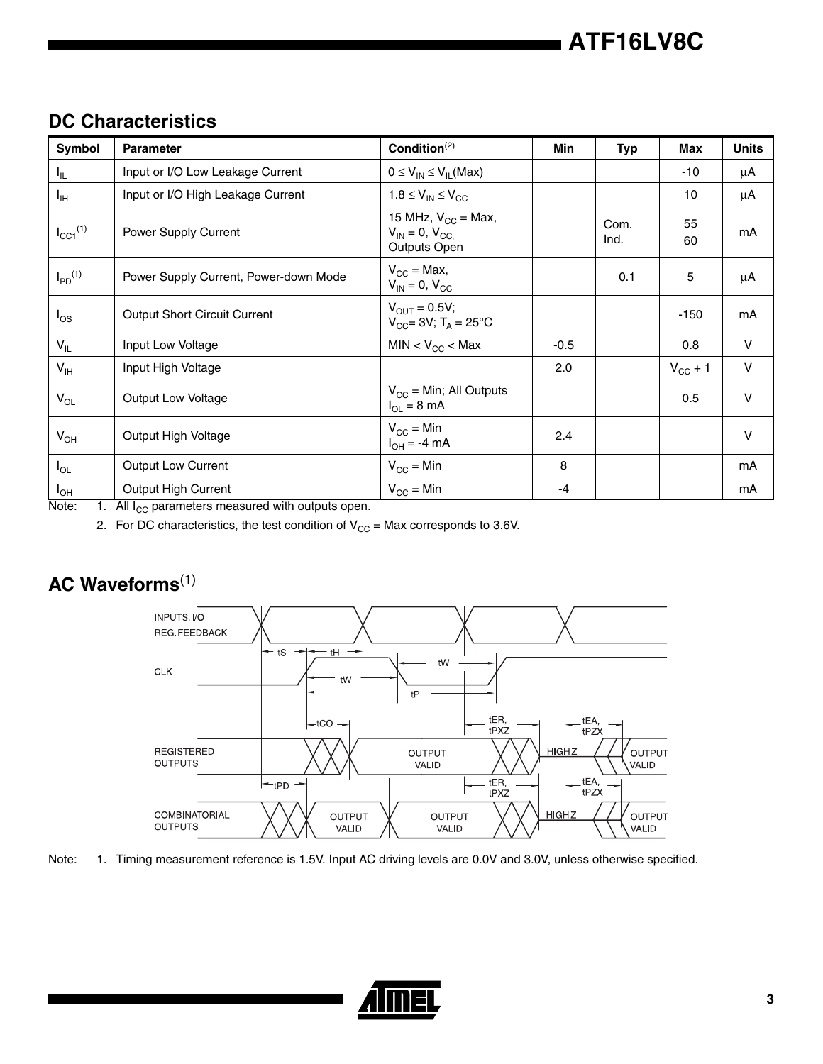| Symbol                   | <b>Parameter</b>                      | Condition $(2)$                                                 | Min    | <b>Typ</b>   | Max                 | <b>Units</b> |
|--------------------------|---------------------------------------|-----------------------------------------------------------------|--------|--------------|---------------------|--------------|
| I <sub>IL</sub>          | Input or I/O Low Leakage Current      | $0 \leq V_{IN} \leq V_{IL}$ (Max)                               |        |              | $-10$               | μA           |
| Iн                       | Input or I/O High Leakage Current     | $1.8 \leq V_{IN} \leq V_{CC}$                                   |        |              | 10                  | μA           |
| $I_{CC1}$ <sup>(1)</sup> | Power Supply Current                  | 15 MHz, $V_{CC}$ = Max,<br>$V_{IN} = 0, V_{CC}$<br>Outputs Open |        | Com.<br>Ind. | 55<br>60            | mA           |
| $I_{PD}$ <sup>(1)</sup>  | Power Supply Current, Power-down Mode | $V_{CC}$ = Max,<br>$V_{IN}$ = 0, $V_{CC}$                       |        | 0.1          | 5                   | μA           |
| $I_{OS}$                 | <b>Output Short Circuit Current</b>   | $V_{OUT} = 0.5V;$<br>$V_{CC}$ = 3V; T <sub>A</sub> = 25°C       |        |              | $-150$              | mA           |
| $V_{IL}$                 | Input Low Voltage                     | $MIN < V_{CC} < Max$                                            | $-0.5$ |              | 0.8                 | $\vee$       |
| $V_{\text{IH}}$          | Input High Voltage                    |                                                                 | 2.0    |              | $V_{\text{CC}} + 1$ | $\vee$       |
| $V_{OL}$                 | <b>Output Low Voltage</b>             | $V_{\rm CC}$ = Min; All Outputs<br>$I_{OL} = 8 \text{ mA}$      |        |              | 0.5                 | $\vee$       |
| $V_{OH}$                 | Output High Voltage                   | $V_{\rm CC}$ = Min<br>$I_{OH} = -4 \text{ mA}$                  | 2.4    |              |                     | $\vee$       |
| $I_{OL}$                 | <b>Output Low Current</b>             | $V_{CC}$ = Min                                                  | 8      |              |                     | mA           |
| $I_{OH}$                 | <b>Output High Current</b>            | $V_{\rm CC}$ = Min                                              | -4     |              |                     | mA           |

## **DC Characteristics**

<span id="page-2-2"></span><span id="page-2-0"></span>Note:  $1.$  All  $I_{CC}$  parameters measured with outputs open.

2. For DC characteristics, the test condition of  $V_{CC}$  = Max corresponds to 3.6V.

# **AC Waveforms**[\(1\)](#page-2-1)



<span id="page-2-1"></span>Note: 1. Timing measurement reference is 1.5V. Input AC driving levels are 0.0V and 3.0V, unless otherwise specified.

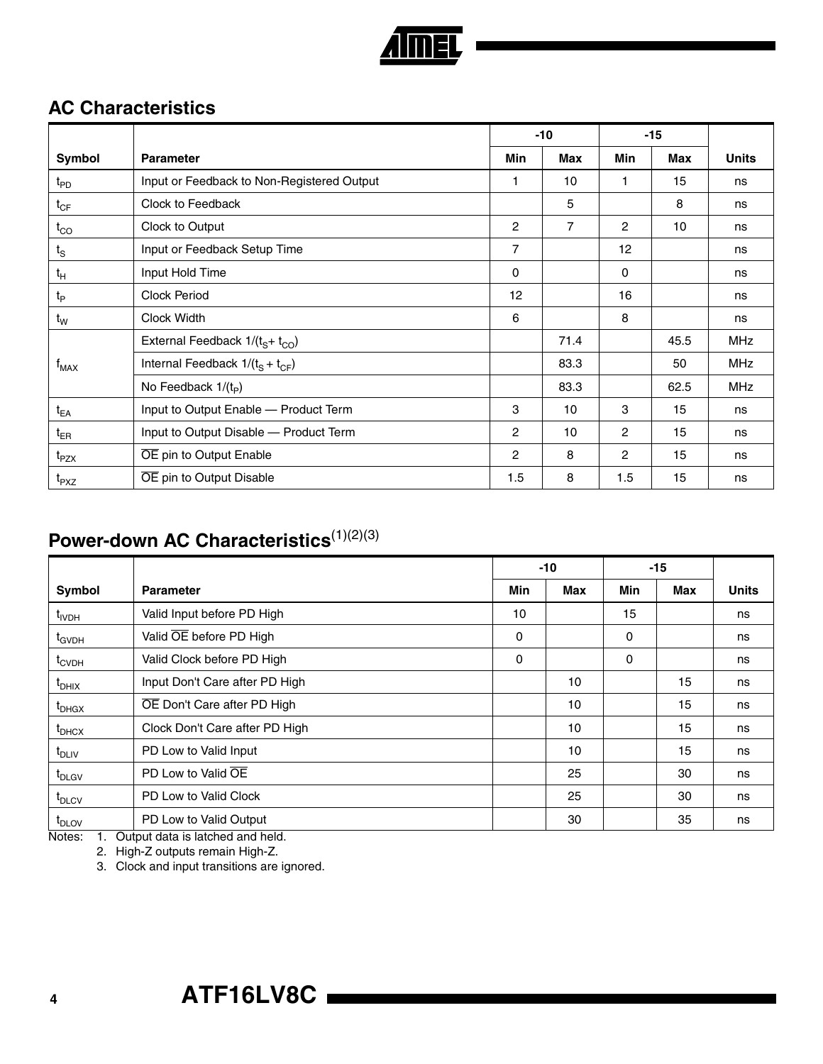

## **AC Characteristics**

|                   |                                            |                | $-10$ |                | $-15$      |              |
|-------------------|--------------------------------------------|----------------|-------|----------------|------------|--------------|
| Symbol            | <b>Parameter</b>                           | <b>Min</b>     | Max   | <b>Min</b>     | <b>Max</b> | <b>Units</b> |
| $t_{\mathsf{PD}}$ | Input or Feedback to Non-Registered Output | 1              | 10    |                | 15         | ns           |
| $t_{CF}$          | Clock to Feedback                          |                | 5     |                | 8          | ns           |
| $t_{CO}$          | Clock to Output                            | $\overline{c}$ | 7     | $\overline{c}$ | 10         | ns           |
| $t_{\rm S}$       | Input or Feedback Setup Time               | $\overline{7}$ |       | 12             |            | ns           |
| $t_H$             | Input Hold Time                            | $\mathbf 0$    |       | $\mathbf 0$    |            | ns           |
| $t_{\mathsf{P}}$  | <b>Clock Period</b>                        | 12             |       | 16             |            | ns           |
| $t_{\mathsf{W}}$  | Clock Width                                |                |       | 8              |            | ns           |
|                   | External Feedback $1/(tS+tCO)$             |                | 71.4  |                | 45.5       | <b>MHz</b>   |
| $f_{MAX}$         | Internal Feedback $1/(t_s + t_{CF})$       |                | 83.3  |                | 50         | <b>MHz</b>   |
|                   | No Feedback $1/(t_p)$                      |                | 83.3  |                | 62.5       | <b>MHz</b>   |
| $t_{EA}$          | Input to Output Enable - Product Term      | 3              | 10    | 3              | 15         | ns           |
| $t_{ER}$          | Input to Output Disable - Product Term     | $\overline{c}$ | 10    | $\overline{2}$ | 15         | ns           |
| t <sub>PZX</sub>  | OE pin to Output Enable                    | $\overline{2}$ | 8     | $\overline{2}$ | 15         | ns           |
| t <sub>PXZ</sub>  | OE pin to Output Disable                   | 1.5            | 8     | 1.5            | 15         | ns           |

## **Power-down AC Characteristics**<sup>[\(1\)](#page-3-0)[\(2\)](#page-3-1)[\(3\)](#page-3-2)</sup>

|                   |                                |     | $-10$ | $-15$      |            |              |
|-------------------|--------------------------------|-----|-------|------------|------------|--------------|
| Symbol            | <b>Parameter</b>               | Min | Max   | <b>Min</b> | <b>Max</b> | <b>Units</b> |
| t <sub>IVDH</sub> | Valid Input before PD High     | 10  |       | 15         |            | ns           |
| $t_{GVDH}$        | Valid OE before PD High        | 0   |       | 0          |            | ns           |
| $t_{\text{CVDH}}$ | Valid Clock before PD High     | 0   |       | 0          |            | ns           |
| $t_{DHIX}$        | Input Don't Care after PD High |     | 10    |            | 15         | ns           |
| $t_{DHGX}$        | OE Don't Care after PD High    |     | 10    |            | 15         | ns           |
| $t_{\text{DHCX}}$ | Clock Don't Care after PD High |     | 10    |            | 15         | ns           |
| $t_{\text{DLIV}}$ | PD Low to Valid Input          |     | 10    |            | 15         | ns           |
| t <sub>DLGV</sub> | PD Low to Valid OE             |     | 25    |            | 30         | ns           |
| $t_{\text{DLCV}}$ | PD Low to Valid Clock          |     | 25    |            | 30         | ns           |
| $t_{\text{DLOV}}$ | PD Low to Valid Output         |     | 30    |            | 35         | ns           |

<span id="page-3-2"></span><span id="page-3-1"></span><span id="page-3-0"></span>Notes: 1. Output data is latched and held.

2. High-Z outputs remain High-Z.

3. Clock and input transitions are ignored.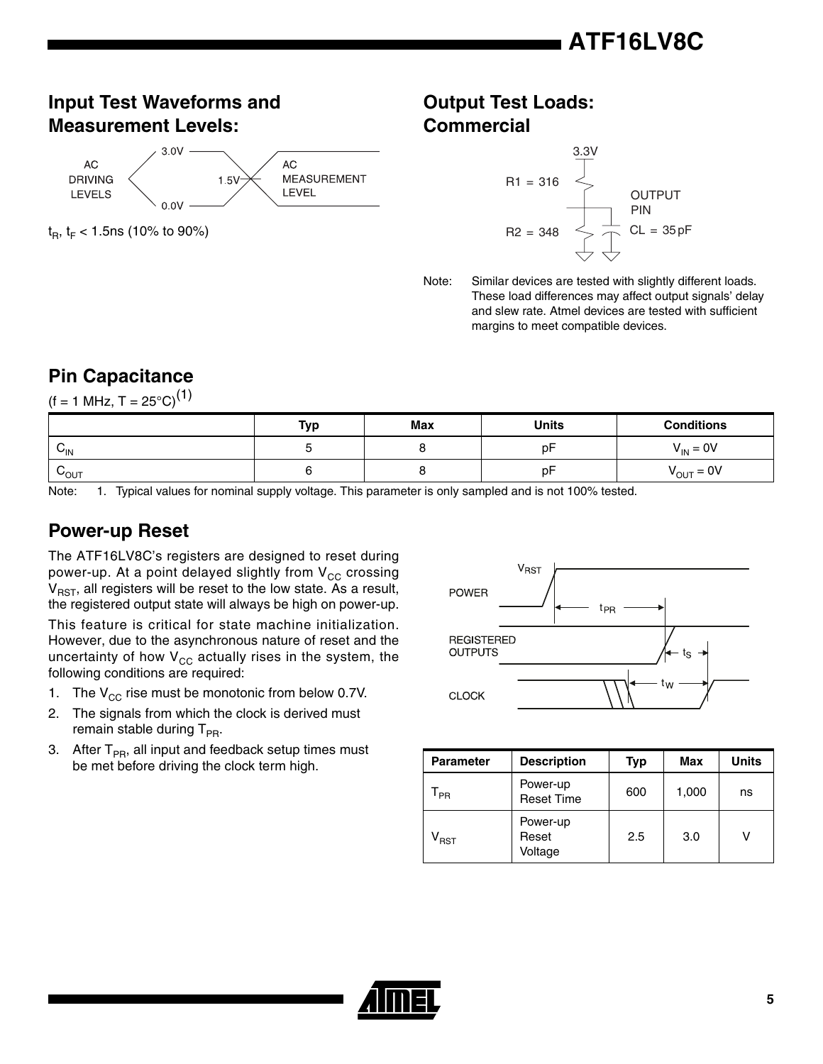## **Input Test Waveforms and Measurement Levels:**



 $t_{\rm B}$ ,  $t_{\rm F}$  < 1.5ns (10% to 90%)

#### **Output Test Loads: Commercial**



Note: Similar devices are tested with slightly different loads. These load differences may affect output signals' delay and slew rate. Atmel devices are tested with sufficient margins to meet compatible devices.

## **Pin Capacitance**

 $(f = 1 \text{ MHz}, T = 25^{\circ} \text{C})^{(1)}$  $(f = 1 \text{ MHz}, T = 25^{\circ} \text{C})^{(1)}$  $(f = 1 \text{ MHz}, T = 25^{\circ} \text{C})^{(1)}$ 

|                      | Typ | <b>Max</b> | Units   | <b>Conditions</b>     |
|----------------------|-----|------------|---------|-----------------------|
| ⌒<br>$V_{\text{IN}}$ |     |            | n⊢<br>ັ | $V_{IN} = 0V$         |
| $v_{\text{OUT}}$     |     |            | n⊢<br>ັ | $V_{\text{OUT}} = 0V$ |

<span id="page-4-0"></span>Note: 1. Typical values for nominal supply voltage. This parameter is only sampled and is not 100% tested.

## **Power-up Reset**

The ATF16LV8C's registers are designed to reset during power-up. At a point delayed slightly from  $V_{CC}$  crossing  $V_{RST}$ , all registers will be reset to the low state. As a result, the registered output state will always be high on power-up.

This feature is critical for state machine initialization. However, due to the asynchronous nature of reset and the uncertainty of how  $V_{CC}$  actually rises in the system, the following conditions are required:

- 1. The  $V_{CC}$  rise must be monotonic from below 0.7V.
- 2. The signals from which the clock is derived must remain stable during  $T_{PR}$ .
- 3. After  $T_{PR}$ , all input and feedback setup times must be met before driving the clock term high.



| <b>Parameter</b>            | <b>Description</b>            | Typ | Max   | <b>Units</b> |
|-----------------------------|-------------------------------|-----|-------|--------------|
| PR                          | Power-up<br><b>Reset Time</b> | 600 | 1,000 | ns           |
| $\mathsf{v}_{\texttt{RST}}$ | Power-up<br>Reset<br>Voltage  | 2.5 | 3.0   | ν            |

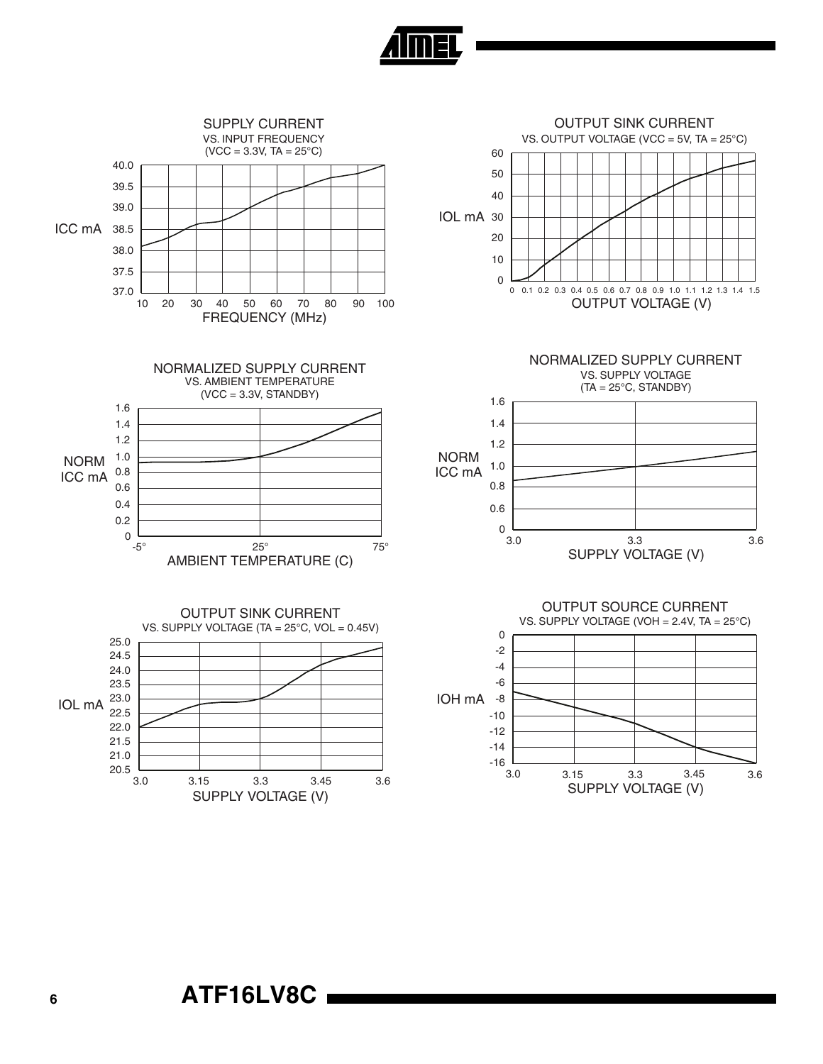

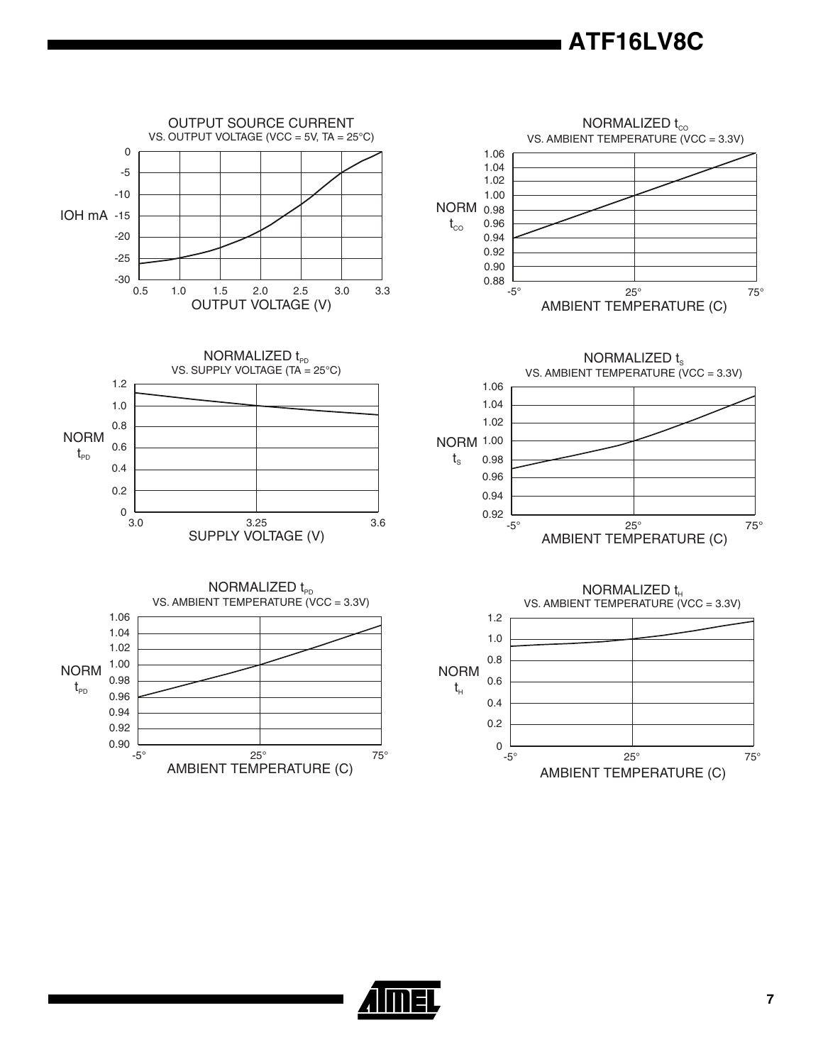

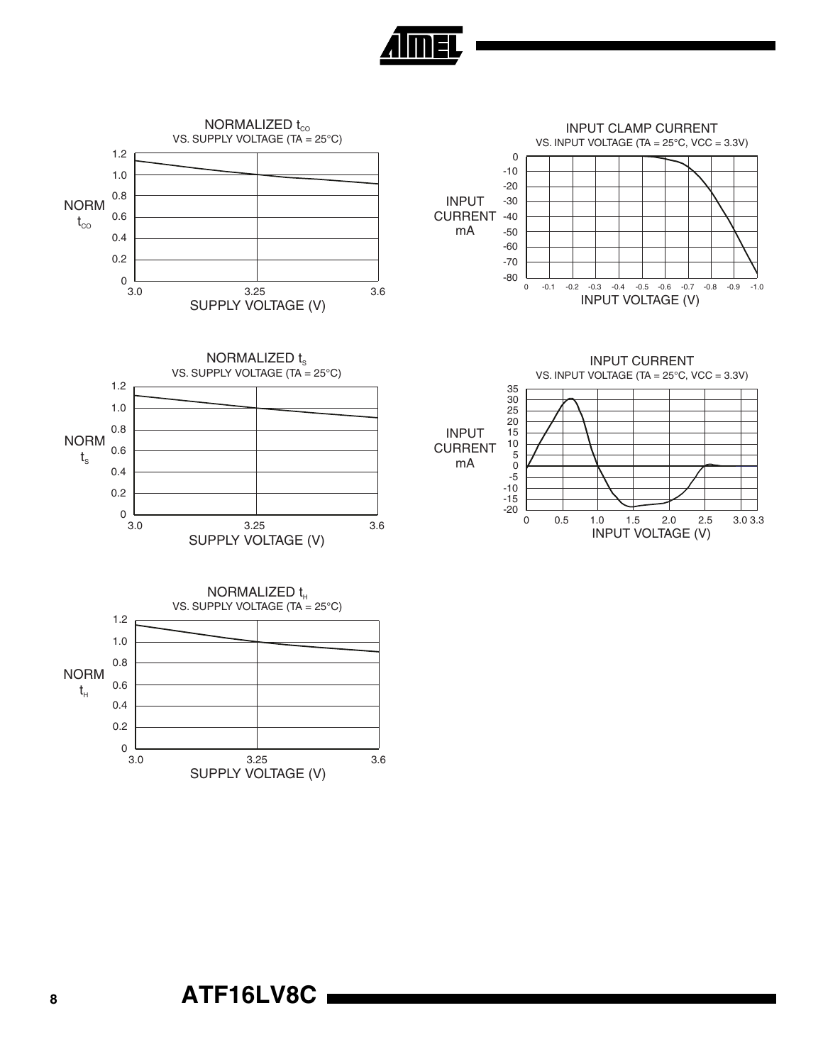

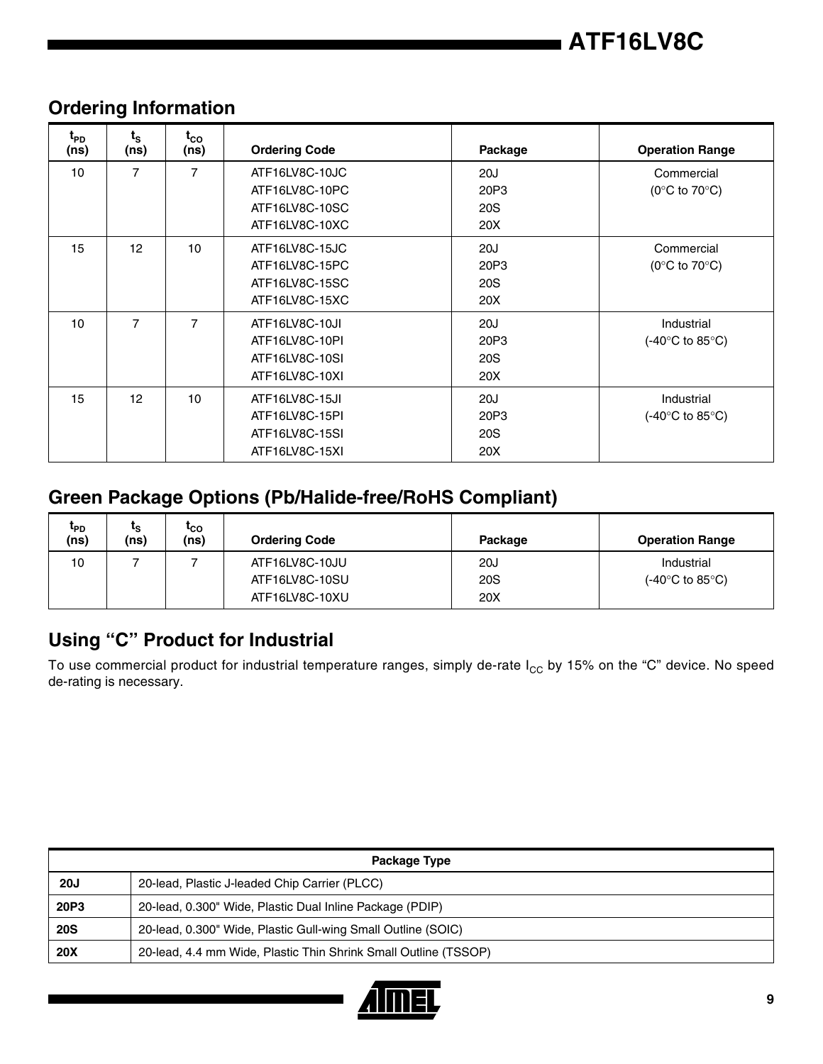

| $t_{\text{PD}}$<br>(ns) | $t_{\rm s}$<br>(ns) | $t_{\rm CO}$<br>(ns) | <b>Ordering Code</b> | Package    | <b>Operation Range</b>                     |
|-------------------------|---------------------|----------------------|----------------------|------------|--------------------------------------------|
| 10                      | $\overline{7}$      | $\overline{7}$       | ATF16LV8C-10JC       | 20J        | Commercial                                 |
|                         |                     |                      | ATF16LV8C-10PC       | 20P3       | (0 $\rm ^{\circ}C$ to 70 $\rm ^{\circ}C$ ) |
|                         |                     |                      | ATF16LV8C-10SC       | 20S        |                                            |
|                         |                     |                      | ATF16LV8C-10XC       | 20X        |                                            |
| 15                      | 12                  | 10                   | ATF16LV8C-15JC       | 20J        | Commercial                                 |
|                         |                     |                      | ATF16LV8C-15PC       | 20P3       | (0 $\rm ^{\circ}C$ to 70 $\rm ^{\circ}C$ ) |
|                         |                     |                      | ATF16LV8C-15SC       | 20S        |                                            |
|                         |                     |                      | ATF16LV8C-15XC       | 20X        |                                            |
| 10                      | $\overline{7}$      | 7                    | ATF16LV8C-10JI       | 20J        | Industrial                                 |
|                         |                     |                      | ATF16LV8C-10PI       | 20P3       | (-40 $\degree$ C to 85 $\degree$ C)        |
|                         |                     |                      | ATF16LV8C-10SI       | <b>20S</b> |                                            |
|                         |                     |                      | ATF16LV8C-10XI       | 20X        |                                            |
| 15                      | 12                  | 10                   | ATF16LV8C-15JI       | 20J        | Industrial                                 |
|                         |                     |                      | ATF16LV8C-15PI       | 20P3       | $(-40^{\circ}$ C to 85 $^{\circ}$ C)       |
|                         |                     |                      | ATF16LV8C-15SI       | 20S        |                                            |
|                         |                     |                      | ATF16LV8C-15XI       | 20X        |                                            |

## **Ordering Information**

## **Green Package Options (Pb/Halide-free/RoHS Compliant)**

| t <sub>PD</sub><br>(ns) | ເຊ<br>(ns) | 'co<br>(ns) | <b>Ordering Code</b> | Package | <b>Operation Range</b>               |
|-------------------------|------------|-------------|----------------------|---------|--------------------------------------|
| 10                      |            |             | ATF16LV8C-10JU       | 20J     | Industrial                           |
|                         |            |             | ATF16LV8C-10SU       | 20S     | $(-40^{\circ}$ C to 85 $^{\circ}$ C) |
|                         |            |             | ATF16LV8C-10XU       | 20X     |                                      |

## **Using "C" Product for Industrial**

To use commercial product for industrial temperature ranges, simply de-rate  $I_{CC}$  by 15% on the "C" device. No speed de-rating is necessary.

|             | Package Type                                                    |  |  |
|-------------|-----------------------------------------------------------------|--|--|
| <b>20J</b>  | 20-lead, Plastic J-leaded Chip Carrier (PLCC)                   |  |  |
| <b>20P3</b> | 20-lead, 0.300" Wide, Plastic Dual Inline Package (PDIP)        |  |  |
| <b>20S</b>  | 20-lead, 0.300" Wide, Plastic Gull-wing Small Outline (SOIC)    |  |  |
| <b>20X</b>  | 20-lead, 4.4 mm Wide, Plastic Thin Shrink Small Outline (TSSOP) |  |  |

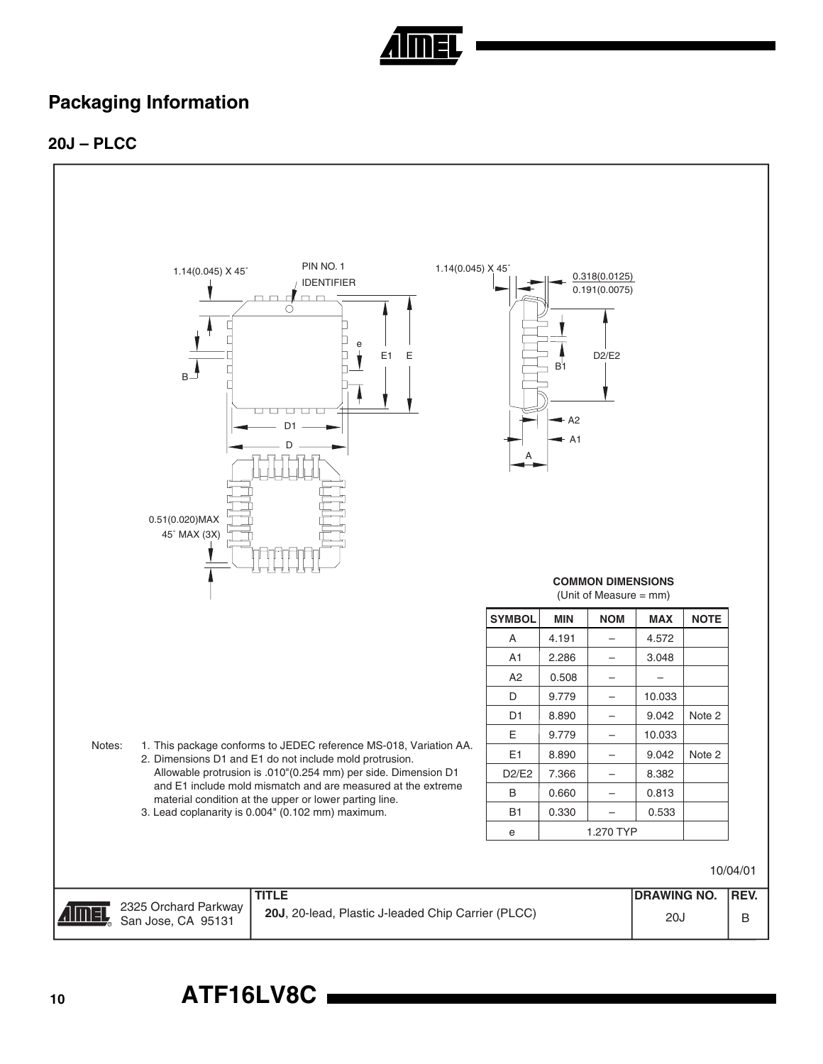

## **Packaging Information**

#### **20J – PLCC**

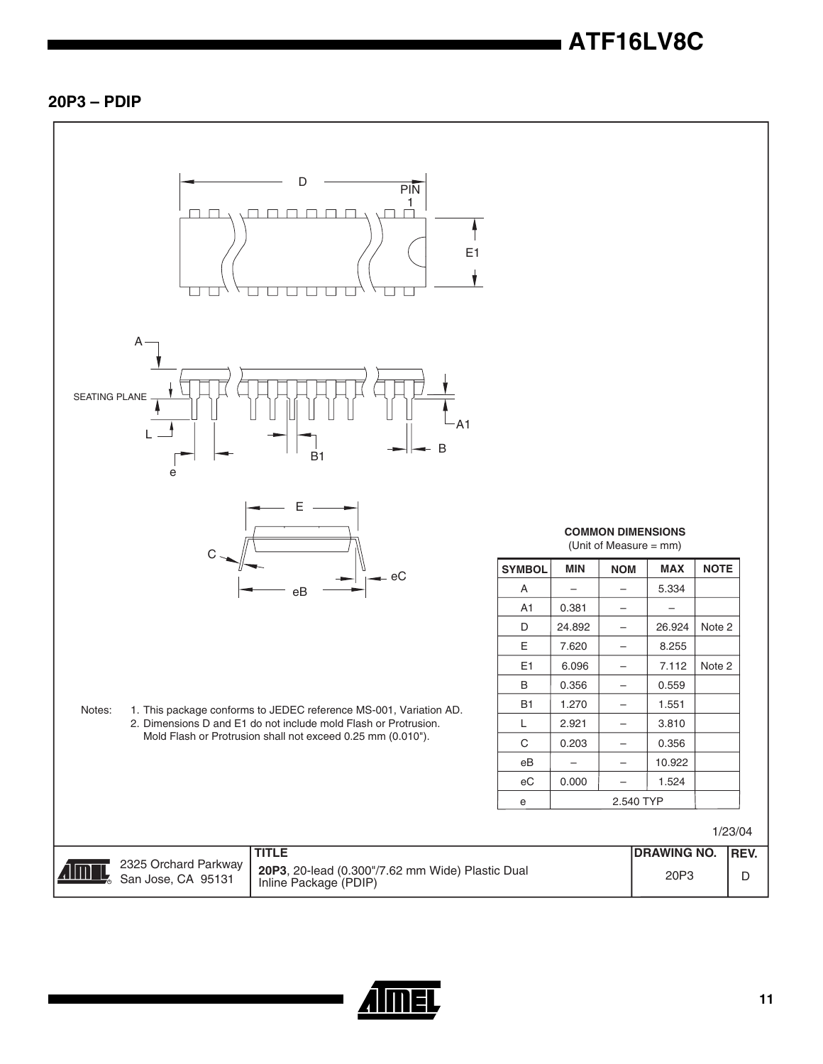#### **20P3 – PDIP**



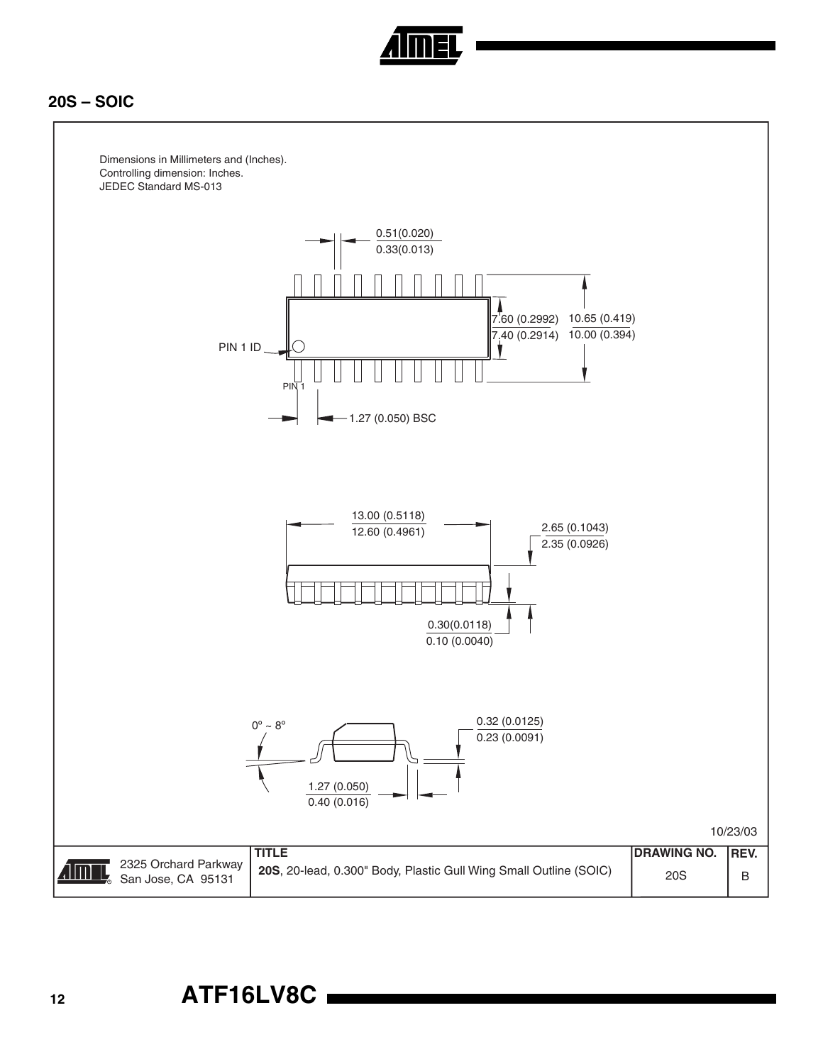

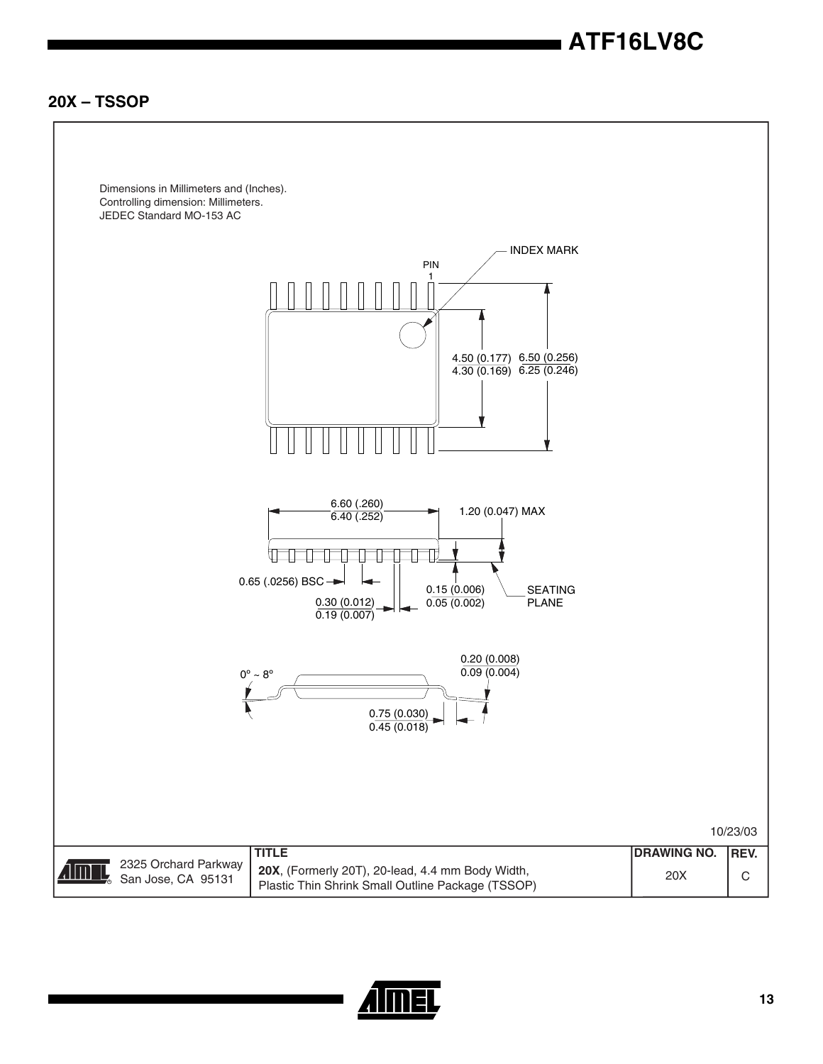**20X – TSSOP**



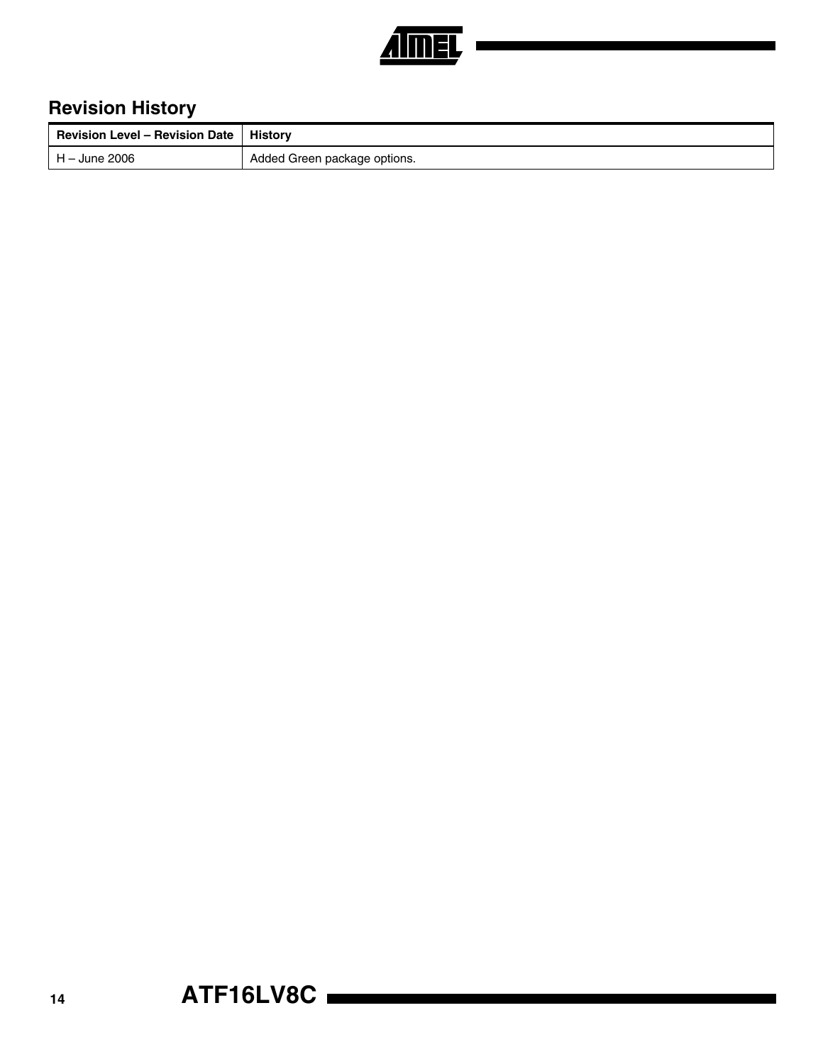

# **Revision History**

| <b>Revision Level - Revision Date</b> | Historv                      |
|---------------------------------------|------------------------------|
| H – June 2006                         | Added Green package options. |